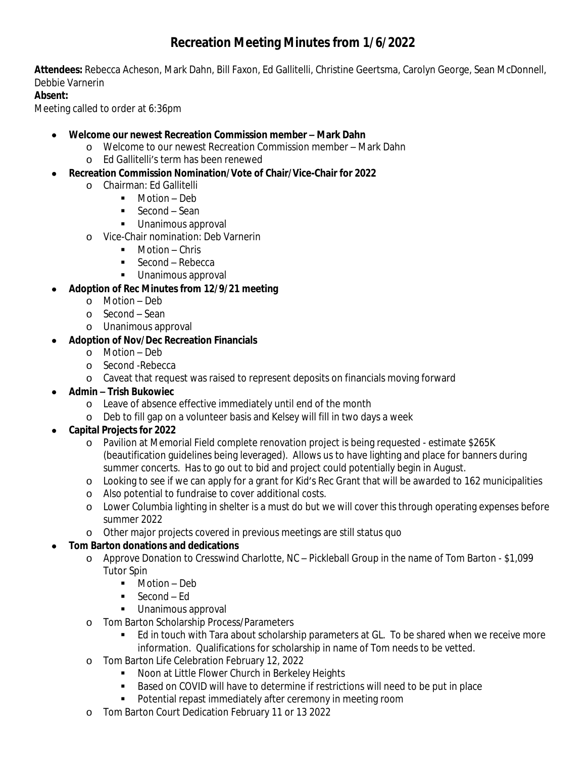# **Recreation Meeting Minutes from 1/6/2022**

**Attendees:** Rebecca Acheson, Mark Dahn, Bill Faxon, Ed Gallitelli, Christine Geertsma, Carolyn George, Sean McDonnell, Debbie Varnerin

### **Absent:**

Meeting called to order at 6:36pm

#### **Welcome our newest Recreation Commission member – Mark Dahn**

- o Welcome to our newest Recreation Commission member Mark Dahn
- o Ed Gallitelli's term has been renewed
- **Recreation Commission Nomination/Vote of Chair/Vice-Chair for 2022**
	- o Chairman: Ed Gallitelli
		- Motion Deb
			- Second Sean
			- **Unanimous approval**
	- o Vice-Chair nomination: Deb Varnerin
		- **Motion Chris**
		- Second Rebecca
		- Unanimous approval
- **Adoption of Rec Minutes from 12/9/21 meeting**
	- o Motion Deb
	- o Second Sean
	- o Unanimous approval
- **Adoption of Nov/Dec Recreation Financials**
	- o Motion Deb
	- o Second -Rebecca
	- o Caveat that request was raised to represent deposits on financials moving forward
- **Admin – Trish Bukowiec**
	- o Leave of absence effective immediately until end of the month
	- o Deb to fill gap on a volunteer basis and Kelsey will fill in two days a week

### **Capital Projects for 2022**

- o Pavilion at Memorial Field complete renovation project is being requested estimate \$265K (beautification guidelines being leveraged). Allows us to have lighting and place for banners during summer concerts. Has to go out to bid and project could potentially begin in August.
- o Looking to see if we can apply for a grant for Kid's Rec Grant that will be awarded to 162 municipalities
- o Also potential to fundraise to cover additional costs.
- o Lower Columbia lighting in shelter is a must do but we will cover this through operating expenses before summer 2022
- o Other major projects covered in previous meetings are still status quo

### **Tom Barton donations and dedications**

- o Approve Donation to Cresswind Charlotte, NC Pickleball Group in the name of Tom Barton \$1,099 Tutor Spin
	- **Motion Deb**
	- Second Ed
	- **Unanimous approval**
- o Tom Barton Scholarship Process/Parameters
	- Ed in touch with Tara about scholarship parameters at GL. To be shared when we receive more information. Qualifications for scholarship in name of Tom needs to be vetted.
- o Tom Barton Life Celebration February 12, 2022
	- **Noon at Little Flower Church in Berkeley Heights**
	- **Based on COVID will have to determine if restrictions will need to be put in place**
	- **•** Potential repast immediately after ceremony in meeting room
- o Tom Barton Court Dedication February 11 or 13 2022